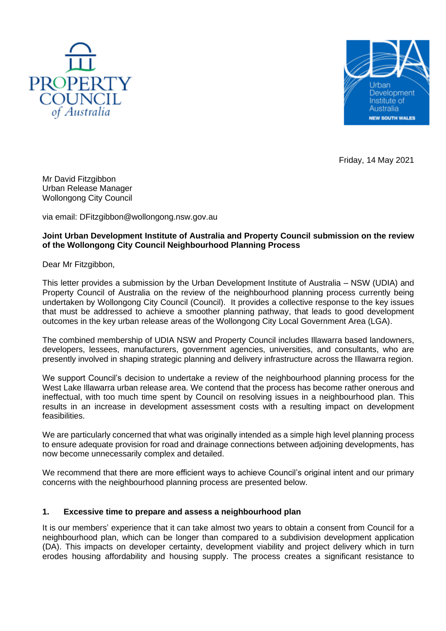



Friday, 14 May 2021

Mr David Fitzgibbon Urban Release Manager Wollongong City Council

via email: DFitzgibbon@wollongong.nsw.gov.au

#### **Joint Urban Development Institute of Australia and Property Council submission on the review of the Wollongong City Council Neighbourhood Planning Process**

Dear Mr Fitzgibbon,

This letter provides a submission by the Urban Development Institute of Australia – NSW (UDIA) and Property Council of Australia on the review of the neighbourhood planning process currently being undertaken by Wollongong City Council (Council). It provides a collective response to the key issues that must be addressed to achieve a smoother planning pathway, that leads to good development outcomes in the key urban release areas of the Wollongong City Local Government Area (LGA).

The combined membership of UDIA NSW and Property Council includes Illawarra based landowners, developers, lessees, manufacturers, government agencies, universities, and consultants, who are presently involved in shaping strategic planning and delivery infrastructure across the Illawarra region.

We support Council's decision to undertake a review of the neighbourhood planning process for the West Lake Illawarra urban release area. We contend that the process has become rather onerous and ineffectual, with too much time spent by Council on resolving issues in a neighbourhood plan. This results in an increase in development assessment costs with a resulting impact on development feasibilities.

We are particularly concerned that what was originally intended as a simple high level planning process to ensure adequate provision for road and drainage connections between adjoining developments, has now become unnecessarily complex and detailed.

We recommend that there are more efficient ways to achieve Council's original intent and our primary concerns with the neighbourhood planning process are presented below.

### **1. Excessive time to prepare and assess a neighbourhood plan**

It is our members' experience that it can take almost two years to obtain a consent from Council for a neighbourhood plan, which can be longer than compared to a subdivision development application (DA). This impacts on developer certainty, development viability and project delivery which in turn erodes housing affordability and housing supply. The process creates a significant resistance to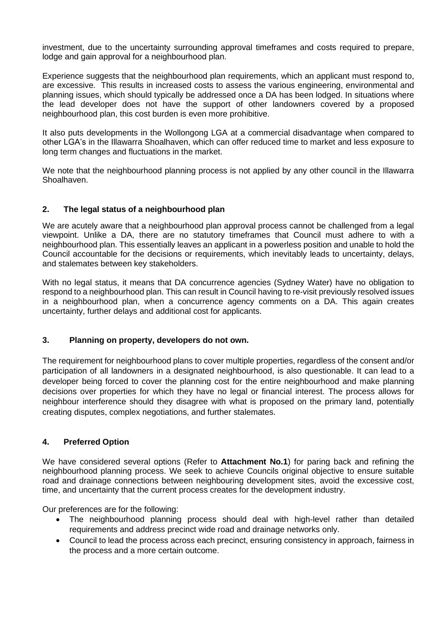investment, due to the uncertainty surrounding approval timeframes and costs required to prepare, lodge and gain approval for a neighbourhood plan.

Experience suggests that the neighbourhood plan requirements, which an applicant must respond to, are excessive. This results in increased costs to assess the various engineering, environmental and planning issues, which should typically be addressed once a DA has been lodged. In situations where the lead developer does not have the support of other landowners covered by a proposed neighbourhood plan, this cost burden is even more prohibitive.

It also puts developments in the Wollongong LGA at a commercial disadvantage when compared to other LGA's in the Illawarra Shoalhaven, which can offer reduced time to market and less exposure to long term changes and fluctuations in the market.

We note that the neighbourhood planning process is not applied by any other council in the Illawarra Shoalhaven.

### **2. The legal status of a neighbourhood plan**

We are acutely aware that a neighbourhood plan approval process cannot be challenged from a legal viewpoint. Unlike a DA, there are no statutory timeframes that Council must adhere to with a neighbourhood plan. This essentially leaves an applicant in a powerless position and unable to hold the Council accountable for the decisions or requirements, which inevitably leads to uncertainty, delays, and stalemates between key stakeholders.

With no legal status, it means that DA concurrence agencies (Sydney Water) have no obligation to respond to a neighbourhood plan. This can result in Council having to re-visit previously resolved issues in a neighbourhood plan, when a concurrence agency comments on a DA. This again creates uncertainty, further delays and additional cost for applicants.

## **3. Planning on property, developers do not own.**

The requirement for neighbourhood plans to cover multiple properties, regardless of the consent and/or participation of all landowners in a designated neighbourhood, is also questionable. It can lead to a developer being forced to cover the planning cost for the entire neighbourhood and make planning decisions over properties for which they have no legal or financial interest. The process allows for neighbour interference should they disagree with what is proposed on the primary land, potentially creating disputes, complex negotiations, and further stalemates.

### **4. Preferred Option**

We have considered several options (Refer to **Attachment No.1**) for paring back and refining the neighbourhood planning process. We seek to achieve Councils original objective to ensure suitable road and drainage connections between neighbouring development sites, avoid the excessive cost, time, and uncertainty that the current process creates for the development industry.

Our preferences are for the following:

- The neighbourhood planning process should deal with high-level rather than detailed requirements and address precinct wide road and drainage networks only.
- Council to lead the process across each precinct, ensuring consistency in approach, fairness in the process and a more certain outcome.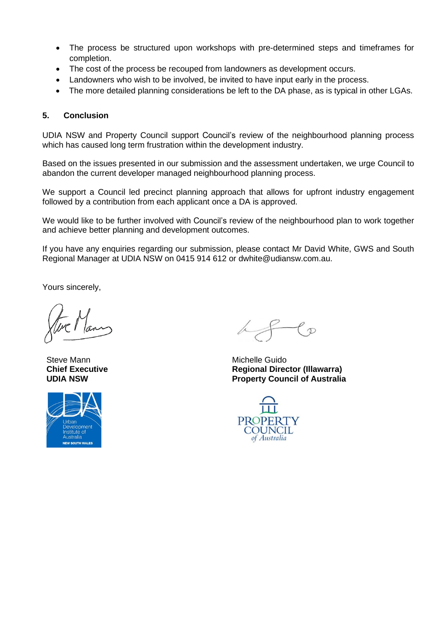- The process be structured upon workshops with pre-determined steps and timeframes for completion.
- The cost of the process be recouped from landowners as development occurs.
- Landowners who wish to be involved, be invited to have input early in the process.
- The more detailed planning considerations be left to the DA phase, as is typical in other LGAs.

### **5. Conclusion**

UDIA NSW and Property Council support Council's review of the neighbourhood planning process which has caused long term frustration within the development industry.

Based on the issues presented in our submission and the assessment undertaken, we urge Council to abandon the current developer managed neighbourhood planning process.

We support a Council led precinct planning approach that allows for upfront industry engagement followed by a contribution from each applicant once a DA is approved.

We would like to be further involved with Council's review of the neighbourhood plan to work together and achieve better planning and development outcomes.

If you have any enquiries regarding our submission, please contact Mr David White, GWS and South Regional Manager at UDIA NSW on 0415 914 612 or [dwhite@udiansw.com.au.](mailto:dwhite@udiansw.com.au)

Yours sincerely,

Steve Mann **Chief Executive UDIA NSW**



 $\ell$   $_{\cal{D}}$ 

Michelle Guido **Regional Director (Illawarra) Property Council of Australia**